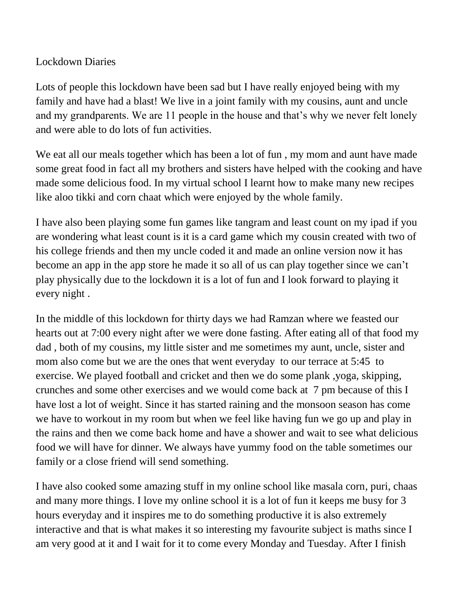## Lockdown Diaries

Lots of people this lockdown have been sad but I have really enjoyed being with my family and have had a blast! We live in a joint family with my cousins, aunt and uncle and my grandparents. We are 11 people in the house and that's why we never felt lonely and were able to do lots of fun activities.

We eat all our meals together which has been a lot of fun, my mom and aunt have made some great food in fact all my brothers and sisters have helped with the cooking and have made some delicious food. In my virtual school I learnt how to make many new recipes like aloo tikki and corn chaat which were enjoyed by the whole family.

I have also been playing some fun games like tangram and least count on my ipad if you are wondering what least count is it is a card game which my cousin created with two of his college friends and then my uncle coded it and made an online version now it has become an app in the app store he made it so all of us can play together since we can't play physically due to the lockdown it is a lot of fun and I look forward to playing it every night .

In the middle of this lockdown for thirty days we had Ramzan where we feasted our hearts out at 7:00 every night after we were done fasting. After eating all of that food my dad , both of my cousins, my little sister and me sometimes my aunt, uncle, sister and mom also come but we are the ones that went everyday to our terrace at 5:45 to exercise. We played football and cricket and then we do some plank ,yoga, skipping, crunches and some other exercises and we would come back at 7 pm because of this I have lost a lot of weight. Since it has started raining and the monsoon season has come we have to workout in my room but when we feel like having fun we go up and play in the rains and then we come back home and have a shower and wait to see what delicious food we will have for dinner. We always have yummy food on the table sometimes our family or a close friend will send something.

I have also cooked some amazing stuff in my online school like masala corn, puri, chaas and many more things. I love my online school it is a lot of fun it keeps me busy for 3 hours everyday and it inspires me to do something productive it is also extremely interactive and that is what makes it so interesting my favourite subject is maths since I am very good at it and I wait for it to come every Monday and Tuesday. After I finish